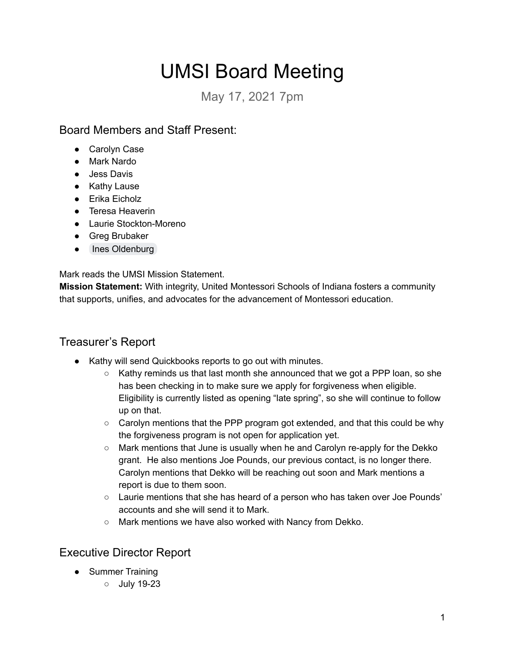# UMSI Board Meeting

May 17, 2021 7pm

### Board Members and Staff Present:

- Carolyn Case
- Mark Nardo
- Jess Davis
- Kathy Lause
- Erika Eicholz
- Teresa Heaverin
- Laurie Stockton-Moreno
- Greg Brubaker
- Ines Oldenburg

Mark reads the UMSI Mission Statement.

**Mission Statement:** With integrity, United Montessori Schools of Indiana fosters a community that supports, unifies, and advocates for the advancement of Montessori education.

# Treasurer's Report

- Kathy will send Quickbooks reports to go out with minutes.
	- $\circ$  Kathy reminds us that last month she announced that we got a PPP loan, so she has been checking in to make sure we apply for forgiveness when eligible. Eligibility is currently listed as opening "late spring´, so she will continue to follow up on that.
	- $\circ$  Carolyn mentions that the PPP program got extended, and that this could be why the forgiveness program is not open for application yet.
	- $\circ$  Mark mentions that June is usually when he and Carolyn re-apply for the Dekko grant. He also mentions Joe Pounds, our previous contact, is no longer there. Carolyn mentions that Dekko will be reaching out soon and Mark mentions a report is due to them soon.
	- $\circ$  Laurie mentions that she has heard of a person who has taken over Joe Pounds' accounts and she will send it to Mark.
	- $\circ$  Mark mentions we have also worked with Nancy from Dekko.

# Executive Director Report

- Summer Training
	- $\circ$  July 19-23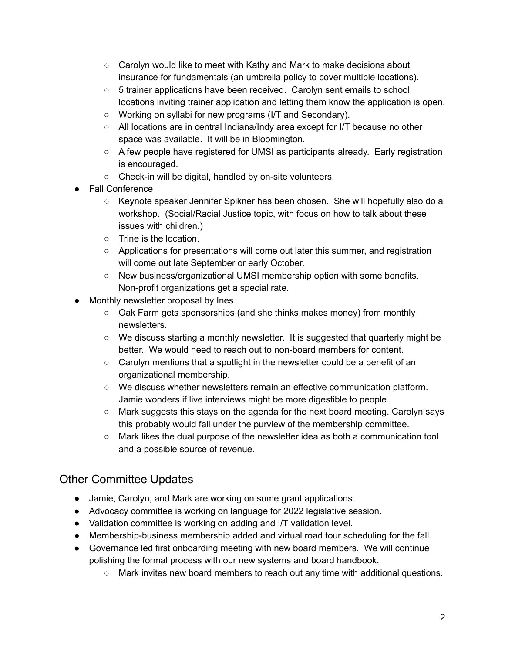- $\circ$  Carolyn would like to meet with Kathy and Mark to make decisions about insurance for fundamentals (an umbrella policy to cover multiple locations).
- $\circ$  5 trainer applications have been received. Carolyn sent emails to school locations inviting trainer application and letting them know the application is open.
- $\circ$  Working on syllabi for new programs (I/T and Secondary).
- $\circ$  All locations are in central Indiana/Indy area except for I/T because no other space was available. It will be in Bloomington.
- $\circ$  A few people have registered for UMSI as participants already. Early registration is encouraged.
- $\circ$  Check-in will be digital, handled by on-site volunteers.
- Fall Conference
	- $\circ$  Keynote speaker Jennifer Spikner has been chosen. She will hopefully also do a workshop. (Social/Racial Justice topic, with focus on how to talk about these issues with children.)
	- $\circ$  Trine is the location.
	- $\circ$  Applications for presentations will come out later this summer, and registration will come out late September or early October.
	- $\circ$  New business/organizational UMSI membership option with some benefits. Non-profit organizations get a special rate.
- Monthly newsletter proposal by lnes
	- $\circ$  Oak Farm gets sponsorships (and she thinks makes money) from monthly newsletters.
	- $\circ$  We discuss starting a monthly newsletter. It is suggested that quarterly might be better. We would need to reach out to non-board members for content.
	- $\circ$  Carolyn mentions that a spotlight in the newsletter could be a benefit of an organizational membership.
	- $\circ$  We discuss whether newsletters remain an effective communication platform. Jamie wonders if live interviews might be more digestible to people.
	- $\circ$  Mark suggests this stays on the agenda for the next board meeting. Carolyn says this probably would fall under the purview of the membership committee.
	- $\circ$  Mark likes the dual purpose of the newsletter idea as both a communication tool and a possible source of revenue.

# Other Committee Updates

- Jamie, Carolyn, and Mark are working on some grant applications.
- Advocacy committee is working on language for 2022 legislative session.
- Validation committee is working on adding and I/T validation level.
- Membership-business membership added and virtual road tour scheduling for the fall.
- Ɣ Governance led first onboarding meeting with new board members. We will continue polishing the formal process with our new systems and board handbook.
	- $\circ$  Mark invites new board members to reach out any time with additional questions.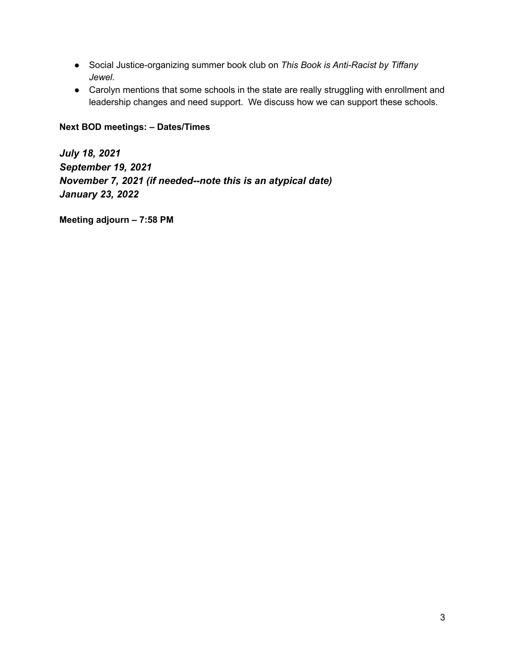- Social Justice-organizing summer book club on *This Book is Anti-Racist by Tiffany Jewel.*
- Carolyn mentions that some schools in the state are really struggling with enrollment and leadership changes and need support. We discuss how we can support these schools.

#### **Next BOD meetings: - Dates/Times**

*Jul\ 18, 2021 September 19, 2021 NoYember 7, 2021 (if needed--note this is an at\pical date) Januar\ 23, 2022*

**Meeting adjourn - 7:58 PM**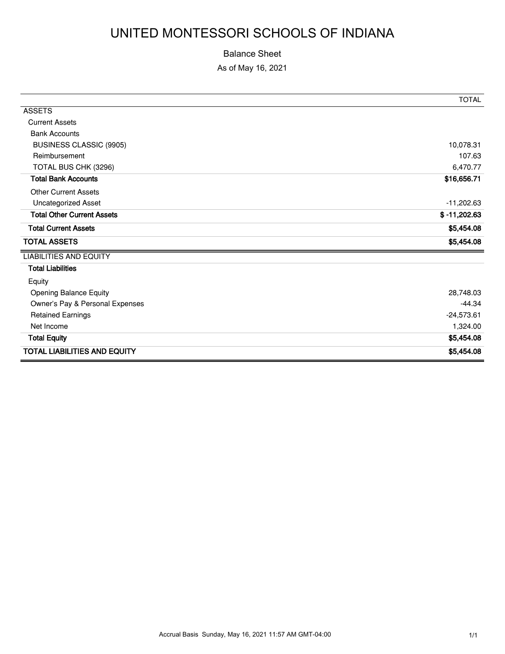# UNITED MONTESSORI SCHOOLS OF INDIANA

#### Balance Sheet

As of May 16, 2021

|                                     | <b>TOTAL</b>   |
|-------------------------------------|----------------|
| <b>ASSETS</b>                       |                |
| <b>Current Assets</b>               |                |
| <b>Bank Accounts</b>                |                |
| <b>BUSINESS CLASSIC (9905)</b>      | 10,078.31      |
| Reimbursement                       | 107.63         |
| TOTAL BUS CHK (3296)                | 6,470.77       |
| <b>Total Bank Accounts</b>          | \$16,656.71    |
| <b>Other Current Assets</b>         |                |
| Uncategorized Asset                 | $-11,202.63$   |
| <b>Total Other Current Assets</b>   | $$ -11,202.63$ |
| <b>Total Current Assets</b>         | \$5,454.08     |
| <b>TOTAL ASSETS</b>                 | \$5,454.08     |
| <b>LIABILITIES AND EQUITY</b>       |                |
| <b>Total Liabilities</b>            |                |
| Equity                              |                |
| Opening Balance Equity              | 28,748.03      |
| Owner's Pay & Personal Expenses     | $-44.34$       |
| <b>Retained Earnings</b>            | $-24,573.61$   |
| Net Income                          | 1,324.00       |
| <b>Total Equity</b>                 | \$5,454.08     |
| <b>TOTAL LIABILITIES AND EQUITY</b> | \$5,454.08     |